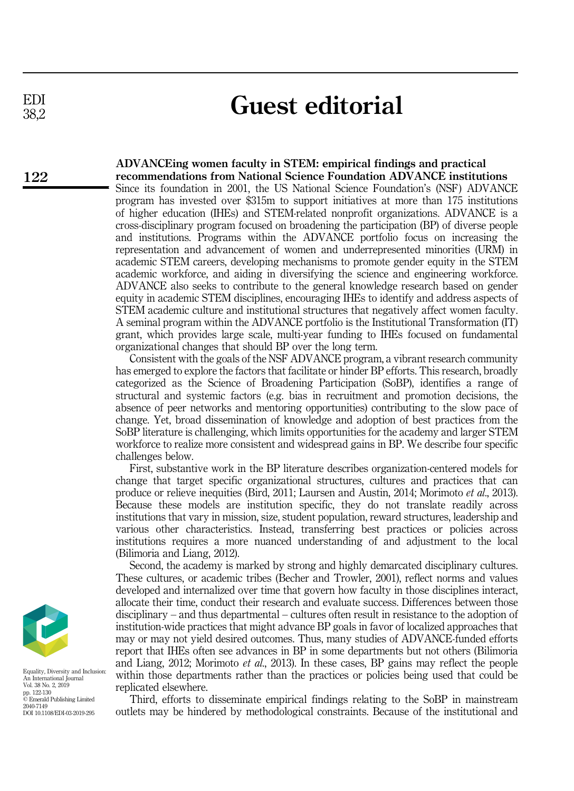# Guest editorial

ADVANCEing women faculty in STEM: empirical findings and practical

recommendations from National Science Foundation ADVANCE institutions Since its foundation in 2001, the US National Science Foundation's (NSF) ADVANCE program has invested over \$315m to support initiatives at more than 175 institutions of higher education (IHEs) and STEM-related nonprofit organizations. ADVANCE is a cross-disciplinary program focused on broadening the participation (BP) of diverse people and institutions. Programs within the ADVANCE portfolio focus on increasing the representation and advancement of women and underrepresented minorities (URM) in academic STEM careers, developing mechanisms to promote gender equity in the STEM academic workforce, and aiding in diversifying the science and engineering workforce. ADVANCE also seeks to contribute to the general knowledge research based on gender equity in academic STEM disciplines, encouraging IHEs to identify and address aspects of STEM academic culture and institutional structures that negatively affect women faculty. A seminal program within the ADVANCE portfolio is the Institutional Transformation (IT) grant, which provides large scale, multi-year funding to IHEs focused on fundamental organizational changes that should BP over the long term.

Consistent with the goals of the NSF ADVANCE program, a vibrant research community has emerged to explore the factors that facilitate or hinder BP efforts. This research, broadly categorized as the Science of Broadening Participation (SoBP), identifies a range of structural and systemic factors (e.g. bias in recruitment and promotion decisions, the absence of peer networks and mentoring opportunities) contributing to the slow pace of change. Yet, broad dissemination of knowledge and adoption of best practices from the SoBP literature is challenging, which limits opportunities for the academy and larger STEM workforce to realize more consistent and widespread gains in BP. We describe four specific challenges below.

First, substantive work in the BP literature describes organization-centered models for change that target specific organizational structures, cultures and practices that can produce or relieve inequities (Bird, 2011; Laursen and Austin, 2014; Morimoto et al., 2013). Because these models are institution specific, they do not translate readily across institutions that vary in mission, size, student population, reward structures, leadership and various other characteristics. Instead, transferring best practices or policies across institutions requires a more nuanced understanding of and adjustment to the local (Bilimoria and Liang, 2012).

Second, the academy is marked by strong and highly demarcated disciplinary cultures. These cultures, or academic tribes (Becher and Trowler, 2001), reflect norms and values developed and internalized over time that govern how faculty in those disciplines interact, allocate their time, conduct their research and evaluate success. Differences between those disciplinary – and thus departmental – cultures often result in resistance to the adoption of institution-wide practices that might advance BP goals in favor of localized approaches that may or may not yield desired outcomes. Thus, many studies of ADVANCE-funded efforts report that IHEs often see advances in BP in some departments but not others (Bilimoria and Liang, 2012; Morimoto et al., 2013). In these cases, BP gains may reflect the people within those departments rather than the practices or policies being used that could be replicated elsewhere.

Third, efforts to disseminate empirical findings relating to the SoBP in mainstream outlets may be hindered by methodological constraints. Because of the institutional and



Equality, Diversity and Inclusion: An International Journal Vol. 38 No. 2, 2019 pp. 122-130 © Emerald Publishing Limited 2040-7149 DOI 10.1108/EDI-03-2019-295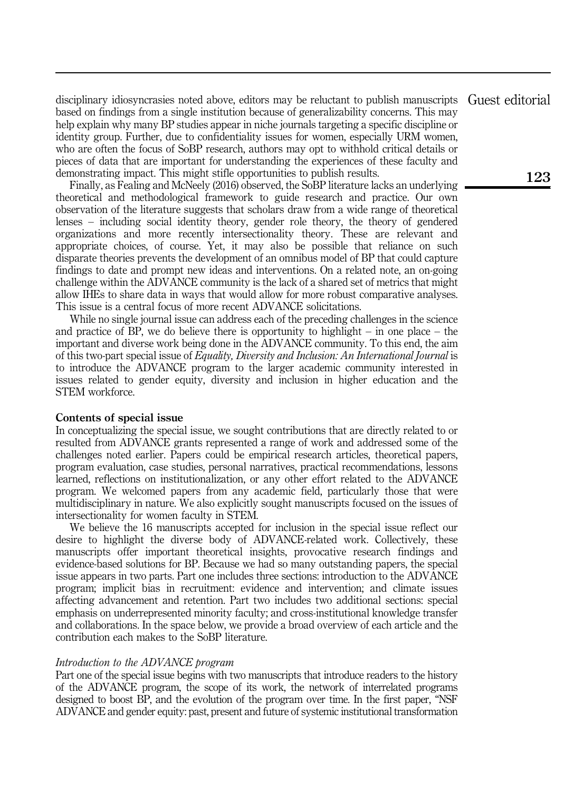disciplinary idiosyncrasies noted above, editors may be reluctant to publish manuscripts Guest editorialbased on findings from a single institution because of generalizability concerns. This may help explain why many BP studies appear in niche journals targeting a specific discipline or identity group. Further, due to confidentiality issues for women, especially URM women, who are often the focus of SoBP research, authors may opt to withhold critical details or pieces of data that are important for understanding the experiences of these faculty and demonstrating impact. This might stifle opportunities to publish results.

Finally, as Fealing and McNeely (2016) observed, the SoBP literature lacks an underlying theoretical and methodological framework to guide research and practice. Our own observation of the literature suggests that scholars draw from a wide range of theoretical lenses – including social identity theory, gender role theory, the theory of gendered organizations and more recently intersectionality theory. These are relevant and appropriate choices, of course. Yet, it may also be possible that reliance on such disparate theories prevents the development of an omnibus model of BP that could capture findings to date and prompt new ideas and interventions. On a related note, an on-going challenge within the ADVANCE community is the lack of a shared set of metrics that might allow IHEs to share data in ways that would allow for more robust comparative analyses. This issue is a central focus of more recent ADVANCE solicitations.

While no single journal issue can address each of the preceding challenges in the science and practice of BP, we do believe there is opportunity to highlight – in one place – the important and diverse work being done in the ADVANCE community. To this end, the aim of this two-part special issue of Equality, Diversity and Inclusion: An International Journal is to introduce the ADVANCE program to the larger academic community interested in issues related to gender equity, diversity and inclusion in higher education and the STEM workforce.

#### Contents of special issue

In conceptualizing the special issue, we sought contributions that are directly related to or resulted from ADVANCE grants represented a range of work and addressed some of the challenges noted earlier. Papers could be empirical research articles, theoretical papers, program evaluation, case studies, personal narratives, practical recommendations, lessons learned, reflections on institutionalization, or any other effort related to the ADVANCE program. We welcomed papers from any academic field, particularly those that were multidisciplinary in nature. We also explicitly sought manuscripts focused on the issues of intersectionality for women faculty in STEM.

We believe the 16 manuscripts accepted for inclusion in the special issue reflect our desire to highlight the diverse body of ADVANCE-related work. Collectively, these manuscripts offer important theoretical insights, provocative research findings and evidence-based solutions for BP. Because we had so many outstanding papers, the special issue appears in two parts. Part one includes three sections: introduction to the ADVANCE program; implicit bias in recruitment: evidence and intervention; and climate issues affecting advancement and retention. Part two includes two additional sections: special emphasis on underrepresented minority faculty; and cross-institutional knowledge transfer and collaborations. In the space below, we provide a broad overview of each article and the contribution each makes to the SoBP literature.

### Introduction to the ADVANCE program

Part one of the special issue begins with two manuscripts that introduce readers to the history of the ADVANCE program, the scope of its work, the network of interrelated programs designed to boost BP, and the evolution of the program over time. In the first paper, "NSF ADVANCE and gender equity: past, present and future of systemic institutional transformation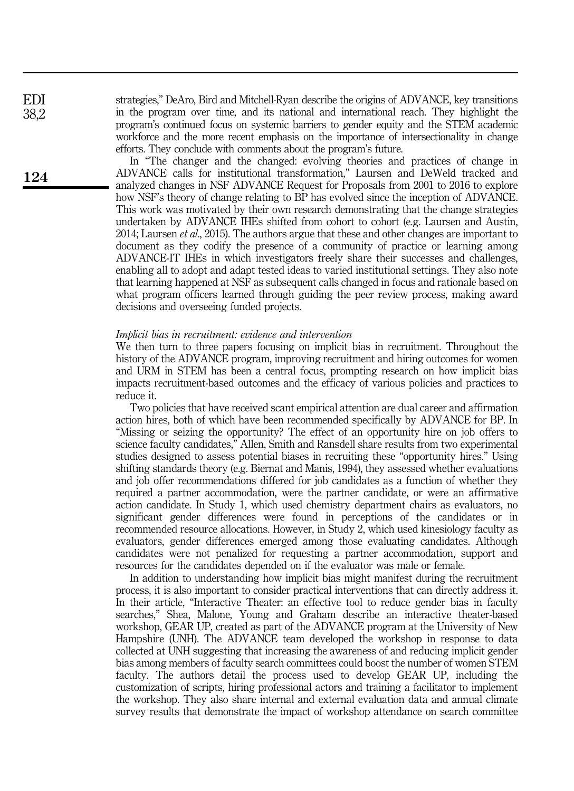strategies," DeAro, Bird and Mitchell-Ryan describe the origins of ADVANCE, key transitions in the program over time, and its national and international reach. They highlight the program's continued focus on systemic barriers to gender equity and the STEM academic workforce and the more recent emphasis on the importance of intersectionality in change efforts. They conclude with comments about the program's future.

In "The changer and the changed: evolving theories and practices of change in ADVANCE calls for institutional transformation," Laursen and DeWeld tracked and analyzed changes in NSF ADVANCE Request for Proposals from 2001 to 2016 to explore how NSF's theory of change relating to BP has evolved since the inception of ADVANCE. This work was motivated by their own research demonstrating that the change strategies undertaken by ADVANCE IHEs shifted from cohort to cohort (e.g. Laursen and Austin, 2014; Laursen *et al.*, 2015). The authors argue that these and other changes are important to document as they codify the presence of a community of practice or learning among ADVANCE-IT IHEs in which investigators freely share their successes and challenges, enabling all to adopt and adapt tested ideas to varied institutional settings. They also note that learning happened at NSF as subsequent calls changed in focus and rationale based on what program officers learned through guiding the peer review process, making award decisions and overseeing funded projects.

#### Implicit bias in recruitment: evidence and intervention

We then turn to three papers focusing on implicit bias in recruitment. Throughout the history of the ADVANCE program, improving recruitment and hiring outcomes for women and URM in STEM has been a central focus, prompting research on how implicit bias impacts recruitment-based outcomes and the efficacy of various policies and practices to reduce it.

Two policies that have received scant empirical attention are dual career and affirmation action hires, both of which have been recommended specifically by ADVANCE for BP. In "Missing or seizing the opportunity? The effect of an opportunity hire on job offers to science faculty candidates," Allen, Smith and Ransdell share results from two experimental studies designed to assess potential biases in recruiting these "opportunity hires." Using shifting standards theory (e.g. Biernat and Manis, 1994), they assessed whether evaluations and job offer recommendations differed for job candidates as a function of whether they required a partner accommodation, were the partner candidate, or were an affirmative action candidate. In Study 1, which used chemistry department chairs as evaluators, no significant gender differences were found in perceptions of the candidates or in recommended resource allocations. However, in Study 2, which used kinesiology faculty as evaluators, gender differences emerged among those evaluating candidates. Although candidates were not penalized for requesting a partner accommodation, support and resources for the candidates depended on if the evaluator was male or female.

In addition to understanding how implicit bias might manifest during the recruitment process, it is also important to consider practical interventions that can directly address it. In their article, "Interactive Theater: an effective tool to reduce gender bias in faculty searches," Shea, Malone, Young and Graham describe an interactive theater-based workshop, GEAR UP, created as part of the ADVANCE program at the University of New Hampshire (UNH). The ADVANCE team developed the workshop in response to data collected at UNH suggesting that increasing the awareness of and reducing implicit gender bias among members of faculty search committees could boost the number of women STEM faculty. The authors detail the process used to develop GEAR UP, including the customization of scripts, hiring professional actors and training a facilitator to implement the workshop. They also share internal and external evaluation data and annual climate survey results that demonstrate the impact of workshop attendance on search committee

EDI 38,2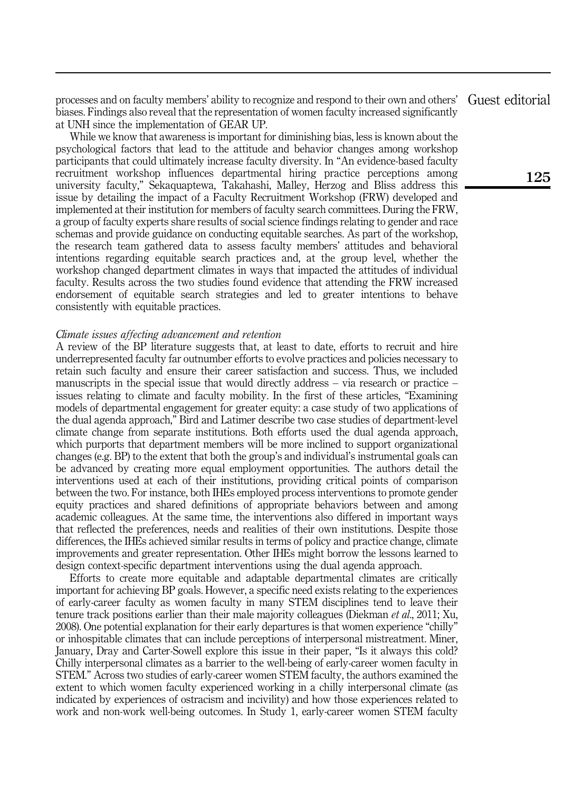processes and on faculty members' ability to recognize and respond to their own and others' Guest editorialbiases. Findings also reveal that the representation of women faculty increased significantly at UNH since the implementation of GEAR UP.

While we know that awareness is important for diminishing bias, less is known about the psychological factors that lead to the attitude and behavior changes among workshop participants that could ultimately increase faculty diversity. In "An evidence-based faculty recruitment workshop influences departmental hiring practice perceptions among university faculty," Sekaquaptewa, Takahashi, Malley, Herzog and Bliss address this issue by detailing the impact of a Faculty Recruitment Workshop (FRW) developed and implemented at their institution for members of faculty search committees. During the FRW, a group of faculty experts share results of social science findings relating to gender and race schemas and provide guidance on conducting equitable searches. As part of the workshop, the research team gathered data to assess faculty members' attitudes and behavioral intentions regarding equitable search practices and, at the group level, whether the workshop changed department climates in ways that impacted the attitudes of individual faculty. Results across the two studies found evidence that attending the FRW increased endorsement of equitable search strategies and led to greater intentions to behave consistently with equitable practices.

#### Climate issues affecting advancement and retention

A review of the BP literature suggests that, at least to date, efforts to recruit and hire underrepresented faculty far outnumber efforts to evolve practices and policies necessary to retain such faculty and ensure their career satisfaction and success. Thus, we included manuscripts in the special issue that would directly address – via research or practice – issues relating to climate and faculty mobility. In the first of these articles, "Examining models of departmental engagement for greater equity: a case study of two applications of the dual agenda approach," Bird and Latimer describe two case studies of department-level climate change from separate institutions. Both efforts used the dual agenda approach, which purports that department members will be more inclined to support organizational changes (e.g. BP) to the extent that both the group's and individual's instrumental goals can be advanced by creating more equal employment opportunities. The authors detail the interventions used at each of their institutions, providing critical points of comparison between the two. For instance, both IHEs employed process interventions to promote gender equity practices and shared definitions of appropriate behaviors between and among academic colleagues. At the same time, the interventions also differed in important ways that reflected the preferences, needs and realities of their own institutions. Despite those differences, the IHEs achieved similar results in terms of policy and practice change, climate improvements and greater representation. Other IHEs might borrow the lessons learned to design context-specific department interventions using the dual agenda approach.

Efforts to create more equitable and adaptable departmental climates are critically important for achieving BP goals. However, a specific need exists relating to the experiences of early-career faculty as women faculty in many STEM disciplines tend to leave their tenure track positions earlier than their male majority colleagues (Diekman *et al.*, 2011; Xu, 2008). One potential explanation for their early departures is that women experience "chilly" or inhospitable climates that can include perceptions of interpersonal mistreatment. Miner, January, Dray and Carter-Sowell explore this issue in their paper, "Is it always this cold? Chilly interpersonal climates as a barrier to the well-being of early-career women faculty in STEM." Across two studies of early-career women STEM faculty, the authors examined the extent to which women faculty experienced working in a chilly interpersonal climate (as indicated by experiences of ostracism and incivility) and how those experiences related to work and non-work well-being outcomes. In Study 1, early-career women STEM faculty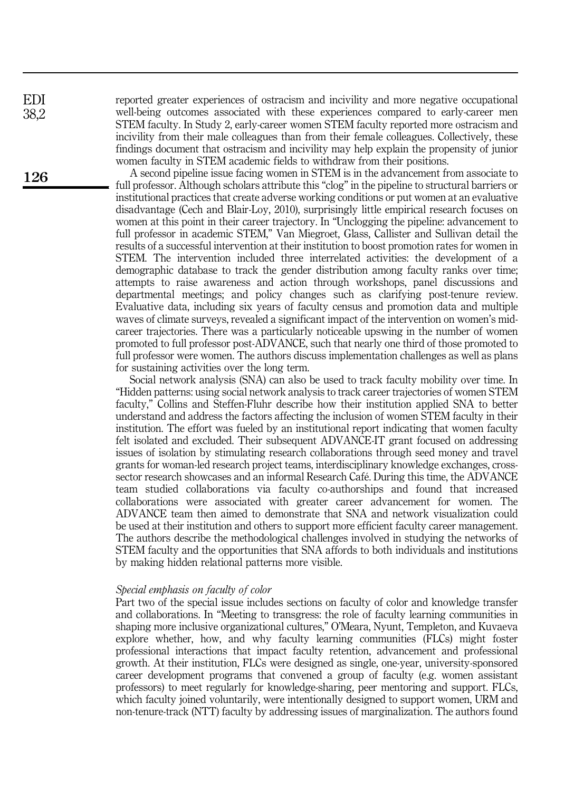reported greater experiences of ostracism and incivility and more negative occupational well-being outcomes associated with these experiences compared to early-career men STEM faculty. In Study 2, early-career women STEM faculty reported more ostracism and incivility from their male colleagues than from their female colleagues. Collectively, these findings document that ostracism and incivility may help explain the propensity of junior women faculty in STEM academic fields to withdraw from their positions.

A second pipeline issue facing women in STEM is in the advancement from associate to full professor. Although scholars attribute this "clog" in the pipeline to structural barriers or institutional practices that create adverse working conditions or put women at an evaluative disadvantage (Cech and Blair-Loy, 2010), surprisingly little empirical research focuses on women at this point in their career trajectory. In "Unclogging the pipeline: advancement to full professor in academic STEM," Van Miegroet, Glass, Callister and Sullivan detail the results of a successful intervention at their institution to boost promotion rates for women in STEM. The intervention included three interrelated activities: the development of a demographic database to track the gender distribution among faculty ranks over time; attempts to raise awareness and action through workshops, panel discussions and departmental meetings; and policy changes such as clarifying post-tenure review. Evaluative data, including six years of faculty census and promotion data and multiple waves of climate surveys, revealed a significant impact of the intervention on women's midcareer trajectories. There was a particularly noticeable upswing in the number of women promoted to full professor post-ADVANCE, such that nearly one third of those promoted to full professor were women. The authors discuss implementation challenges as well as plans for sustaining activities over the long term.

Social network analysis (SNA) can also be used to track faculty mobility over time. In "Hidden patterns: using social network analysis to track career trajectories of women STEM faculty," Collins and Steffen-Fluhr describe how their institution applied SNA to better understand and address the factors affecting the inclusion of women STEM faculty in their institution. The effort was fueled by an institutional report indicating that women faculty felt isolated and excluded. Their subsequent ADVANCE-IT grant focused on addressing issues of isolation by stimulating research collaborations through seed money and travel grants for woman-led research project teams, interdisciplinary knowledge exchanges, crosssector research showcases and an informal Research Café. During this time, the ADVANCE team studied collaborations via faculty co-authorships and found that increased collaborations were associated with greater career advancement for women. The ADVANCE team then aimed to demonstrate that SNA and network visualization could be used at their institution and others to support more efficient faculty career management. The authors describe the methodological challenges involved in studying the networks of STEM faculty and the opportunities that SNA affords to both individuals and institutions by making hidden relational patterns more visible.

#### Special emphasis on faculty of color

Part two of the special issue includes sections on faculty of color and knowledge transfer and collaborations. In "Meeting to transgress: the role of faculty learning communities in shaping more inclusive organizational cultures," O'Meara, Nyunt, Templeton, and Kuvaeva explore whether, how, and why faculty learning communities (FLCs) might foster professional interactions that impact faculty retention, advancement and professional growth. At their institution, FLCs were designed as single, one-year, university-sponsored career development programs that convened a group of faculty (e.g. women assistant professors) to meet regularly for knowledge-sharing, peer mentoring and support. FLCs, which faculty joined voluntarily, were intentionally designed to support women, URM and non-tenure-track (NTT) faculty by addressing issues of marginalization. The authors found

EDI 38,2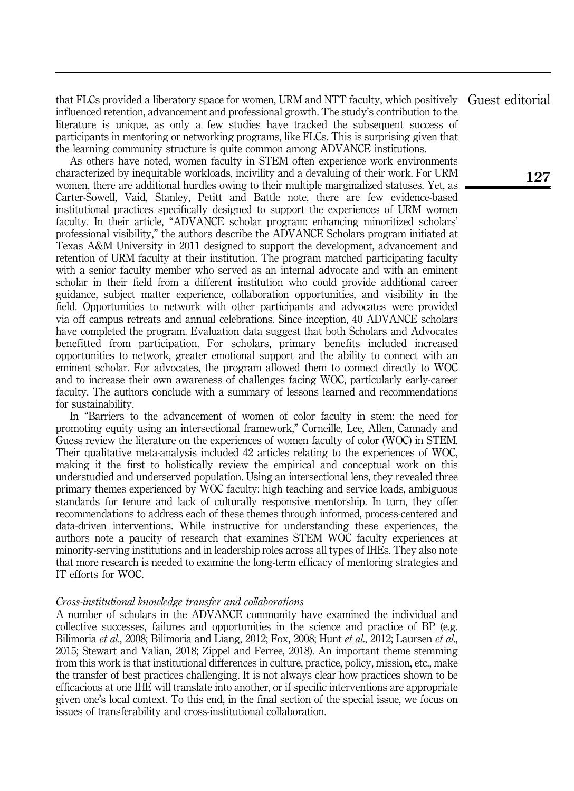that FLCs provided a liberatory space for women, URM and NTT faculty, which positively influenced retention, advancement and professional growth. The study's contribution to the literature is unique, as only a few studies have tracked the subsequent success of participants in mentoring or networking programs, like FLCs. This is surprising given that the learning community structure is quite common among ADVANCE institutions.

As others have noted, women faculty in STEM often experience work environments characterized by inequitable workloads, incivility and a devaluing of their work. For URM women, there are additional hurdles owing to their multiple marginalized statuses. Yet, as Carter-Sowell, Vaid, Stanley, Petitt and Battle note, there are few evidence-based institutional practices specifically designed to support the experiences of URM women faculty. In their article, "ADVANCE scholar program: enhancing minoritized scholars' professional visibility," the authors describe the ADVANCE Scholars program initiated at Texas A&M University in 2011 designed to support the development, advancement and retention of URM faculty at their institution. The program matched participating faculty with a senior faculty member who served as an internal advocate and with an eminent scholar in their field from a different institution who could provide additional career guidance, subject matter experience, collaboration opportunities, and visibility in the field. Opportunities to network with other participants and advocates were provided via off campus retreats and annual celebrations. Since inception, 40 ADVANCE scholars have completed the program. Evaluation data suggest that both Scholars and Advocates benefitted from participation. For scholars, primary benefits included increased opportunities to network, greater emotional support and the ability to connect with an eminent scholar. For advocates, the program allowed them to connect directly to WOC and to increase their own awareness of challenges facing WOC, particularly early-career faculty. The authors conclude with a summary of lessons learned and recommendations for sustainability.

In "Barriers to the advancement of women of color faculty in stem: the need for promoting equity using an intersectional framework," Corneille, Lee, Allen, Cannady and Guess review the literature on the experiences of women faculty of color (WOC) in STEM. Their qualitative meta-analysis included 42 articles relating to the experiences of WOC, making it the first to holistically review the empirical and conceptual work on this understudied and underserved population. Using an intersectional lens, they revealed three primary themes experienced by WOC faculty: high teaching and service loads, ambiguous standards for tenure and lack of culturally responsive mentorship. In turn, they offer recommendations to address each of these themes through informed, process-centered and data-driven interventions. While instructive for understanding these experiences, the authors note a paucity of research that examines STEM WOC faculty experiences at minority-serving institutions and in leadership roles across all types of IHEs. They also note that more research is needed to examine the long-term efficacy of mentoring strategies and IT efforts for WOC.

#### Cross-institutional knowledge transfer and collaborations

A number of scholars in the ADVANCE community have examined the individual and collective successes, failures and opportunities in the science and practice of BP (e.g. Bilimoria et al., 2008; Bilimoria and Liang, 2012; Fox, 2008; Hunt et al., 2012; Laursen et al., 2015; Stewart and Valian, 2018; Zippel and Ferree, 2018). An important theme stemming from this work is that institutional differences in culture, practice, policy, mission, etc., make the transfer of best practices challenging. It is not always clear how practices shown to be efficacious at one IHE will translate into another, or if specific interventions are appropriate given one's local context. To this end, in the final section of the special issue, we focus on issues of transferability and cross-institutional collaboration.

Guest editorial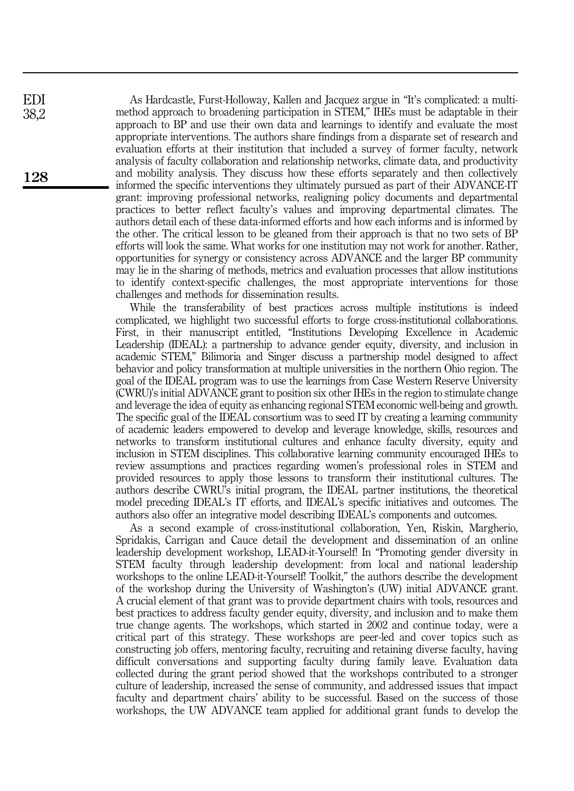As Hardcastle, Furst-Holloway, Kallen and Jacquez argue in "It's complicated: a multimethod approach to broadening participation in STEM," IHEs must be adaptable in their approach to BP and use their own data and learnings to identify and evaluate the most appropriate interventions. The authors share findings from a disparate set of research and evaluation efforts at their institution that included a survey of former faculty, network analysis of faculty collaboration and relationship networks, climate data, and productivity and mobility analysis. They discuss how these efforts separately and then collectively informed the specific interventions they ultimately pursued as part of their ADVANCE-IT grant: improving professional networks, realigning policy documents and departmental practices to better reflect faculty's values and improving departmental climates. The authors detail each of these data-informed efforts and how each informs and is informed by the other. The critical lesson to be gleaned from their approach is that no two sets of BP efforts will look the same. What works for one institution may not work for another. Rather, opportunities for synergy or consistency across ADVANCE and the larger BP community may lie in the sharing of methods, metrics and evaluation processes that allow institutions to identify context-specific challenges, the most appropriate interventions for those challenges and methods for dissemination results.

While the transferability of best practices across multiple institutions is indeed complicated, we highlight two successful efforts to forge cross-institutional collaborations. First, in their manuscript entitled, "Institutions Developing Excellence in Academic Leadership (IDEAL): a partnership to advance gender equity, diversity, and inclusion in academic STEM," Bilimoria and Singer discuss a partnership model designed to affect behavior and policy transformation at multiple universities in the northern Ohio region. The goal of the IDEAL program was to use the learnings from Case Western Reserve University (CWRU)'s initial ADVANCE grant to position six other IHEs in the region to stimulate change and leverage the idea of equity as enhancing regional STEM economic well-being and growth. The specific goal of the IDEAL consortium was to seed IT by creating a learning community of academic leaders empowered to develop and leverage knowledge, skills, resources and networks to transform institutional cultures and enhance faculty diversity, equity and inclusion in STEM disciplines. This collaborative learning community encouraged IHEs to review assumptions and practices regarding women's professional roles in STEM and provided resources to apply those lessons to transform their institutional cultures. The authors describe CWRU's initial program, the IDEAL partner institutions, the theoretical model preceding IDEAL's IT efforts, and IDEAL's specific initiatives and outcomes. The authors also offer an integrative model describing IDEAL's components and outcomes.

As a second example of cross-institutional collaboration, Yen, Riskin, Margherio, Spridakis, Carrigan and Cauce detail the development and dissemination of an online leadership development workshop, LEAD-it-Yourself! In "Promoting gender diversity in STEM faculty through leadership development: from local and national leadership workshops to the online LEAD-it-Yourself! Toolkit," the authors describe the development of the workshop during the University of Washington's (UW) initial ADVANCE grant. A crucial element of that grant was to provide department chairs with tools, resources and best practices to address faculty gender equity, diversity, and inclusion and to make them true change agents. The workshops, which started in 2002 and continue today, were a critical part of this strategy. These workshops are peer-led and cover topics such as constructing job offers, mentoring faculty, recruiting and retaining diverse faculty, having difficult conversations and supporting faculty during family leave. Evaluation data collected during the grant period showed that the workshops contributed to a stronger culture of leadership, increased the sense of community, and addressed issues that impact faculty and department chairs' ability to be successful. Based on the success of those workshops, the UW ADVANCE team applied for additional grant funds to develop the

EDI 38,2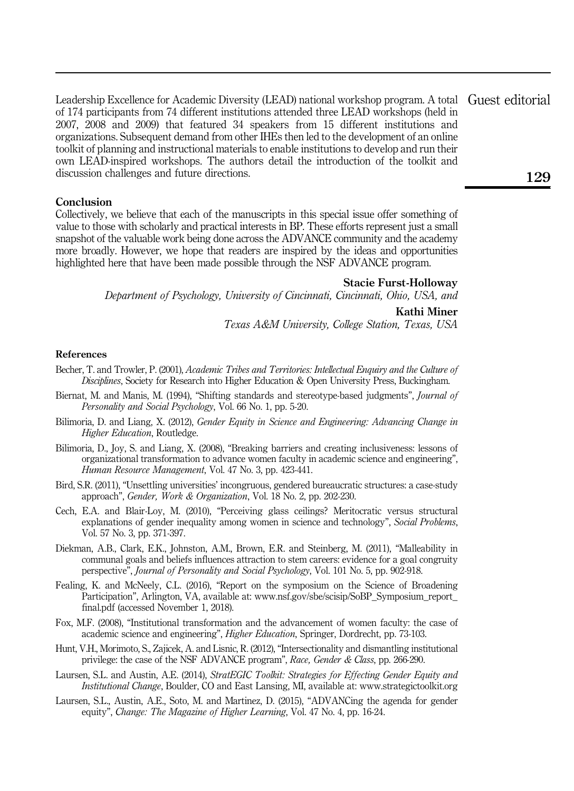Leadership Excellence for Academic Diversity (LEAD) national workshop program. A total Guest editorialof 174 participants from 74 different institutions attended three LEAD workshops (held in 2007, 2008 and 2009) that featured 34 speakers from 15 different institutions and organizations. Subsequent demand from other IHEs then led to the development of an online toolkit of planning and instructional materials to enable institutions to develop and run their own LEAD-inspired workshops. The authors detail the introduction of the toolkit and discussion challenges and future directions.

## **Conclusion**

Collectively, we believe that each of the manuscripts in this special issue offer something of value to those with scholarly and practical interests in BP. These efforts represent just a small snapshot of the valuable work being done across the ADVANCE community and the academy more broadly. However, we hope that readers are inspired by the ideas and opportunities highlighted here that have been made possible through the NSF ADVANCE program.

#### Stacie Furst-Holloway

Department of Psychology, University of Cincinnati, Cincinnati, Ohio, USA, and Kathi Miner

Texas A&M University, College Station, Texas, USA

#### References

- Becher. T. and Trowler, P. (2001), Academic Tribes and Territories: Intellectual Enquiry and the Culture of Disciplines, Society for Research into Higher Education & Open University Press, Buckingham.
- Biernat, M. and Manis, M. (1994), "Shifting standards and stereotype-based judgments", Journal of Personality and Social Psychology, Vol. 66 No. 1, pp. 5-20.
- Bilimoria, D. and Liang, X. (2012), Gender Equity in Science and Engineering: Advancing Change in Higher Education, Routledge.
- Bilimoria, D., Joy, S. and Liang, X. (2008), "Breaking barriers and creating inclusiveness: lessons of organizational transformation to advance women faculty in academic science and engineering", Human Resource Management, Vol. 47 No. 3, pp. 423-441.
- Bird, S.R. (2011), "Unsettling universities' incongruous, gendered bureaucratic structures: a case-study approach", Gender, Work & Organization, Vol. 18 No. 2, pp. 202-230.
- Cech, E.A. and Blair-Loy, M. (2010), "Perceiving glass ceilings? Meritocratic versus structural explanations of gender inequality among women in science and technology", Social Problems, Vol. 57 No. 3, pp. 371-397.
- Diekman, A.B., Clark, E.K., Johnston, A.M., Brown, E.R. and Steinberg, M. (2011), "Malleability in communal goals and beliefs influences attraction to stem careers: evidence for a goal congruity perspective", Journal of Personality and Social Psychology, Vol. 101 No. 5, pp. 902-918.
- Fealing, K. and McNeely, C.L. (2016), "Report on the symposium on the Science of Broadening Participation", Arlington, VA, available at: [www.nsf.gov/sbe/scisip/SoBP\\_Symposium\\_report\\_](www.nsf.gov/sbe/scisip/SoBP_Symposium_report_final.pdf) [final.pdf](www.nsf.gov/sbe/scisip/SoBP_Symposium_report_final.pdf) (accessed November 1, 2018).
- Fox, M.F. (2008), "Institutional transformation and the advancement of women faculty: the case of academic science and engineering", Higher Education, Springer, Dordrecht, pp. 73-103.
- Hunt, V.H., Morimoto, S., Zajicek, A. and Lisnic, R. (2012), "Intersectionality and dismantling institutional privilege: the case of the NSF ADVANCE program", Race, Gender & Class, pp. 266-290.
- Laursen, S.L. and Austin, A.E. (2014), StratEGIC Toolkit: Strategies for Effecting Gender Equity and Institutional Change, Boulder, CO and East Lansing, MI, available at:<www.strategictoolkit.org>
- Laursen, S.L., Austin, A.E., Soto, M. and Martinez, D. (2015), "ADVANCing the agenda for gender equity", *Change: The Magazine of Higher Learning*, Vol. 47 No. 4, pp. 16-24.